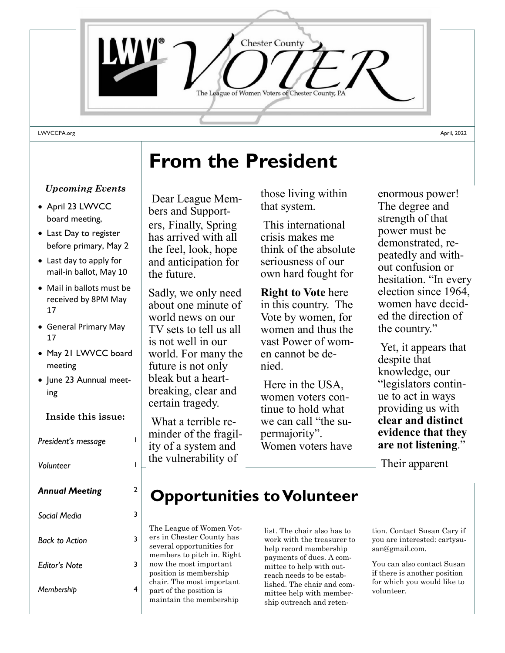

#### *Upcoming Events*

- April 23 LWVCC board meeting,
- Last Day to register before primary, May 2
- Last day to apply for mail-in ballot, May 10
- Mail in ballots must be received by 8PM May 17
- General Primary May 17
- May 21 LWVCC board meeting
- June 23 Aunnual meeting

#### **Inside this issue:**

**President's message** 

*Volunteer* 1

| <b>Annual Meeting</b> | 2 |
|-----------------------|---|
| Social Media          | 3 |
| <b>Back to Action</b> | 3 |
| <b>Editor's Note</b>  |   |
|                       |   |

*Membership* 4

## **From the President**

Dear League Members and Supporters, Finally, Spring has arrived with all the feel, look, hope and anticipation for the future.

Sadly, we only need about one minute of world news on our TV sets to tell us all is not well in our world. For many the future is not only bleak but a heartbreaking, clear and certain tragedy.

What a terrible reminder of the fragility of a system and the vulnerability of

those living within that system.

This international crisis makes me think of the absolute seriousness of our own hard fought for

**Right to Vote** here in this country. The Vote by women, for women and thus the vast Power of women cannot be denied.

Here in the USA, women voters continue to hold what we can call "the supermajority". Women voters have

enormous power! The degree and strength of that power must be demonstrated, repeatedly and without confusion or hesitation. "In every election since 1964, women have decided the direction of the country."

Yet, it appears that despite that knowledge, our "legislators continue to act in ways providing us with **clear and distinct evidence that they are not listening**."

Their apparent

### **Opportunities to Volunteer**

The League of Women Voters in Chester County has several opportunities for members to pitch in. Right now the most important position is membership chair. The most important part of the position is maintain the membership

list. The chair also has to work with the treasurer to help record membership payments of dues. A committee to help with outreach needs to be established. The chair and committee help with membership outreach and retention. Contact Susan Cary if you are interested: cartysusan@gmail.com.

You can also contact Susan if there is another position for which you would like to volunteer.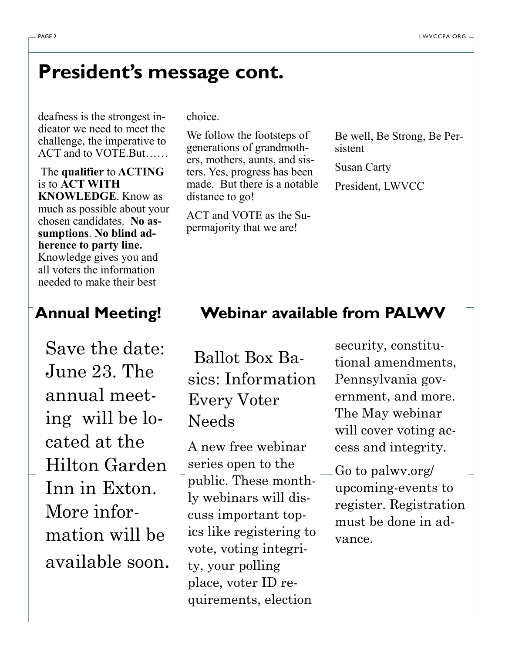### **President's message cont.**

deafness is the strongest indicator we need to meet the challenge, the imperative to ACT and to VOTE.But……

The **qualifier** to **ACTING** is to **ACT WITH KNOWLEDGE**. Know as much as possible about your chosen candidates. **No assumptions**. **No blind adherence to party line.** Knowledge gives you and all voters the information needed to make their best

Save the date: June 23. The annual meeting will be located at the Hilton Garden Inn in Exton. More information will be available soon. choice.

We follow the footsteps of generations of grandmothers, mothers, aunts, and sisters. Yes, progress has been made. But there is a notable distance to go!

ACT and VOTE as the Supermajority that we are!

Be well, Be Strong, Be Persistent

Susan Carty

President, LWVCC

#### **Annual Meeting! Webinar available from PALWV**

Ballot Box Basics: Information Every Voter Needs

A new free webinar series open to the public. These monthly webinars will discuss important topics like registering to vote, voting integrity, your polling place, voter ID requirements, election

security, constitutional amendments, Pennsylvania government, and more. The May webinar will cover voting access and integrity.

Go to palwv.org/ upcoming-events to register. Registration must be done in advance.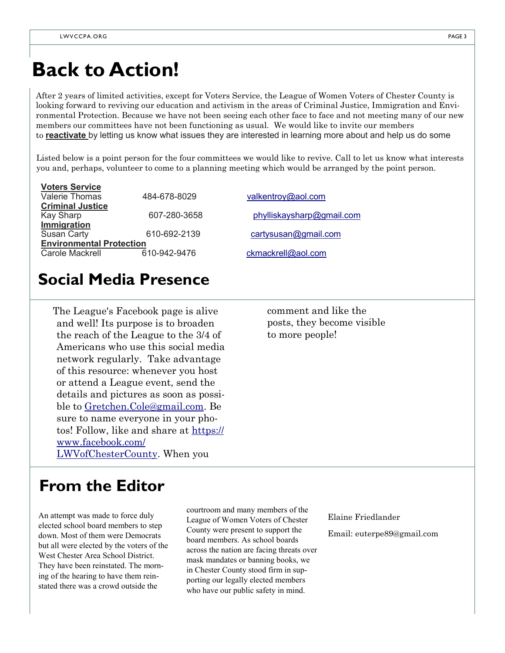### **Back to Action!**

After 2 years of limited activities, except for Voters Service, the League of Women Voters of Chester County is looking forward to reviving our education and activism in the areas of Criminal Justice, Immigration and Environmental Protection. Because we have not been seeing each other face to face and not meeting many of our new members our committees have not been functioning as usual. We would like to invite our members to **reactivate** by letting us know what issues they are interested in learning more about and help us do some

Listed below is a point person for the four committees we would like to revive. Call to let us know what interests you and, perhaps, volunteer to come to a planning meeting which would be arranged by the point person.

| <b>Voters Service</b>           |              |                           |
|---------------------------------|--------------|---------------------------|
| <b>Valerie Thomas</b>           | 484-678-8029 | valkentroy@aol.com        |
| <b>Criminal Justice</b>         |              |                           |
| Kay Sharp                       | 607-280-3658 | phylliskaysharp@gmail.com |
| Immigration                     |              |                           |
| <b>Susan Carty</b>              | 610-692-2139 | cartysusan@gmail.com      |
| <b>Environmental Protection</b> |              |                           |
| Carole Mackrell                 | 610-942-9476 | ckmackrell@aol.com        |
|                                 |              |                           |

#### **Social Media Presence**

The League's Facebook page is alive and well! Its purpose is to broaden the reach of the League to the 3/4 of Americans who use this social media network regularly. Take advantage of this resource: whenever you host or attend a League event, send the details and pictures as soon as possible to [Gretchen.Cole@gmail.com.](mailto:Gretchen.Cole@gmail.com) Be sure to name everyone in your photos! Follow, like and share at [https://](https://www.facebook.com/LWVofChesterCounty) [www.facebook.com/](https://www.facebook.com/LWVofChesterCounty) [LWVofChesterCounty.](https://www.facebook.com/LWVofChesterCounty) When you

comment and like the posts, they become visible to more people!

### **From the Editor**

An attempt was made to force duly elected school board members to step down. Most of them were Democrats but all were elected by the voters of the West Chester Area School District. They have been reinstated. The morning of the hearing to have them reinstated there was a crowd outside the

courtroom and many members of the League of Women Voters of Chester County were present to support the board members. As school boards across the nation are facing threats over mask mandates or banning books, we in Chester County stood firm in supporting our legally elected members who have our public safety in mind.

Elaine Friedlander

Email: euterpe89@gmail.com